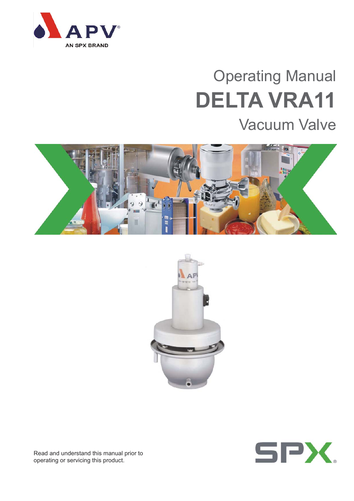

# Operating Manual **DELTA VRA11**

## Vacuum Valve







Read and understand this manual prior to operating or servicing this product.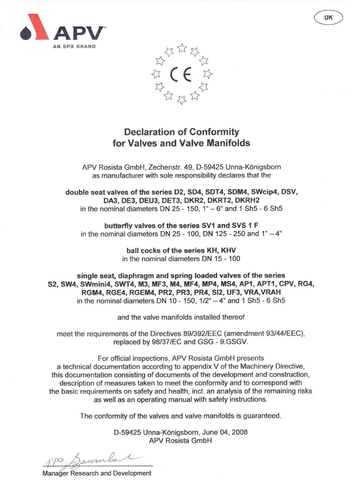



## **Declaration of Conformity** for Valves and Valve Manifolds

APV Rosista GmbH, Zechenstr. 49, D-59425 Unna-Königsborn as manufacturer with sole responsibility declares that the

double seat valves of the series D2, SD4, SDT4, SDM4, SWcip4, DSV, DA3, DE3, DEU3, DET3, DKR2, DKRT2, DKRH2 in the nominal diameters DN  $25 - 150$ ,  $1^{\circ} - 6^{\circ}$  and 1 Sh $5 - 6$  Sh $5$ 

butterfly valves of the series SV1 and SVS 1 F in the nominal diameters DN 25 - 100, DN 125 - 250 and  $1^{\circ} - 4^{\circ}$ 

> ball cocks of the series KH, KHV in the nominal diameters DN 15 - 100

single seat, diaphragm and spring loaded valves of the series S2, SW4, SWmini4, SWT4, M3, MF3, M4, MF4, MP4, MS4, AP1, APT1, CPV, RG4, RGM4, RGE4, RGEM4, PR2, PR3, PR4, SI2, UF3, VRA, VRAH in the nominal diameters DN 10 - 150,  $1/2^{\circ}$  - 4 $^{\circ}$  and 1 Sh5 - 6 Sh5

and the valve manifolds installed thereof

meet the requirements of the Directives 89/392/EEC (amendment 93/44/EEC), replaced by 98/37/EC and GSG - 9.GSGV.

For official inspections, APV Rosista GmbH presents a technical documentation according to appendix V of the Machinery Directive, this documentation consisting of documents of the development and construction, description of measures taken to meet the conformity and to correspond with the basic requirements on safety and health, incl. an analysis of the remaining risks as well as an operating manual with safety instructions.

The conformity of the valves and valve manifolds is guaranteed.

D-59425 Unna-Königsborn, June 04, 2008 **APV Rosista GmbH** 

aum

**Manager Research and Development**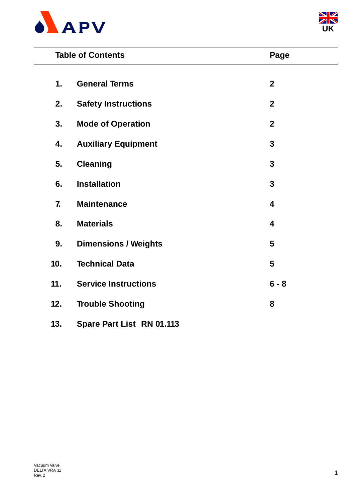



|     | <b>Table of Contents</b>    | Page                    |  |
|-----|-----------------------------|-------------------------|--|
| 1.  | <b>General Terms</b>        | $\boldsymbol{2}$        |  |
| 2.  | <b>Safety Instructions</b>  | $\overline{2}$          |  |
| 3.  | <b>Mode of Operation</b>    | $\mathbf{2}$            |  |
| 4.  | <b>Auxiliary Equipment</b>  | $\mathbf{3}$            |  |
| 5.  | <b>Cleaning</b>             | 3                       |  |
| 6.  | <b>Installation</b>         | 3                       |  |
| 7.  | <b>Maintenance</b>          | $\overline{\mathbf{4}}$ |  |
| 8.  | <b>Materials</b>            | $\overline{\mathbf{4}}$ |  |
| 9.  | <b>Dimensions / Weights</b> | 5                       |  |
| 10. | <b>Technical Data</b>       | 5                       |  |
| 11. | <b>Service Instructions</b> | $6 - 8$                 |  |
| 12. | <b>Trouble Shooting</b>     | 8                       |  |
| 13. | Spare Part List RN 01.113   |                         |  |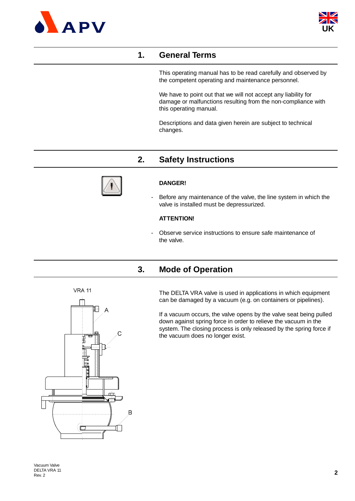



## **1. General Terms**

This operating manual has to be read carefully and observed by the competent operating and maintenance personnel.

We have to point out that we will not accept any liability for damage or malfunctions resulting from the non-compliance with this operating manual.

Descriptions and data given herein are subject to technical changes.

## **2. Safety Instructions**



#### **DANGER!**

Before any maintenance of the valve, the line system in which the valve is installed must be depressurized.

#### **ATTENTION!**

- Observe service instructions to ensure safe maintenance of the valve.

## **3. Mode of Operation**

The DELTA VRA valve is used in applications in which equipment can be damaged by a vacuum (e.g. on containers or pipelines).

If a vacuum occurs, the valve opens by the valve seat being pulled down against spring force in order to relieve the vacuum in the system. The closing process is only released by the spring force if the vacuum does no longer exist.

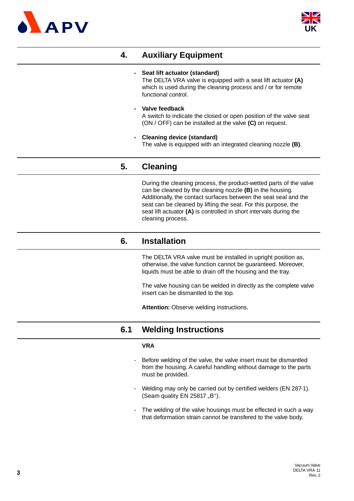



## **4. Auxiliary Equipment**

#### **- Seat lift actuator (standard)**

The DELTA VRA valve is equipped with a seat lift actuator **(A)** which is used during the cleaning process and / or for remote functional control.

- **Valve feedback** A switch to indicate the closed or open position of the valve seat (ON / OFF) can be installed at the valve **(C)** on request.
- **Cleaning device (standard)** The valve is equipped with an integrated cleaning nozzle **(B)**.

### **5. Cleaning**

During the cleaning process, the product-wetted parts of the valve can be cleaned by the cleaning nozzle **(B)** in the housing. Additionally, the contact surfaces between the seat seal and the seat can be cleaned by lifting the seat. For this purpose, the seat lift actuator **(A)** is controlled in short intervals during the cleaning process.

#### **6. Installation**

The DELTA VRA valve must be installed in upright position as, otherwise, the valve function cannot be guaranteed. Moreover, liquids must be able to drain off the housing and the tray.

The valve housing can be welded in directly as the complete valve insert can be dismantled to the top.

**Attention:** Observe welding instructions.

## **6.1 Welding Instructions**

#### **VRA**

- Before welding of the valve, the valve insert must be dismantled from the housing. A careful handling without damage to the parts must be provided.
- Welding may only be carried out by certified welders (EN 287-1). (Seam quality  $EN$  25817,  $B$ ").
- The welding of the valve housings must be effected in such a way that deformation strain cannot be transfered to the valve body.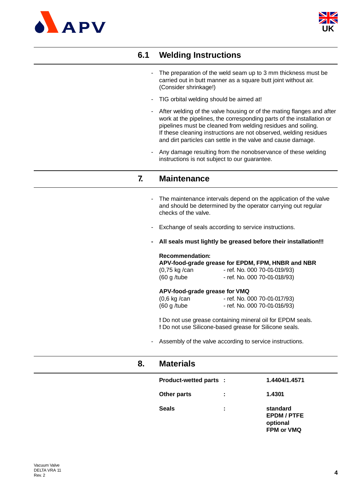



## **6.1 Welding Instructions**

- The preparation of the weld seam up to 3 mm thickness must be carried out in butt manner as a square butt joint without air. (Consider shrinkage!)
- TIG orbital welding should be aimed at!
- After welding of the valve housing or of the mating flanges and after work at the pipelines, the corresponding parts of the installation or pipelines must be cleaned from welding residues and soiling. If these cleaning instructions are not observed, welding residues and dirt particles can settle in the valve and cause damage.
- Any damage resulting from the nonobservance of these welding instructions is not subject to our guarantee.

#### **7. Maintenance**

- The maintenance intervals depend on the application of the valve and should be determined by the operator carrying out regular checks of the valve.
- Exchange of seals according to service instructions.
- **All seals must lightly be greased before their installation!!!**

#### **Recommendation:**

**APV-food-grade grease for EPDM, FPM, HNBR and NBR**

| (0,75 kg /can | - ref. No. 000 70-01-019/93) |
|---------------|------------------------------|
| (60 g /tube   | - ref. No. 000 70-01-018/93) |

#### **APV-food-grade grease for VMQ**

| $(0,6 \text{ kg}/\text{can})$ | - ref. No. 000 70-01-017/93) |
|-------------------------------|------------------------------|
| (60 g/tube)                   | - ref. No. 000 70-01-016/93) |

**!** Do not use grease containing mineral oil for EPDM seals. **!** Do not use Silicone-based grease for Silicone seals.

- Assembly of the valve according to service instructions.

| 8. | <b>Materials</b>       |   |                                                        |
|----|------------------------|---|--------------------------------------------------------|
|    | Product-wetted parts : |   | 1.4404/1.4571                                          |
|    | Other parts            | ÷ | 1.4301                                                 |
|    | <b>Seals</b>           | ÷ | standard<br><b>EPDM/PTFE</b><br>optional<br>FPM or VMQ |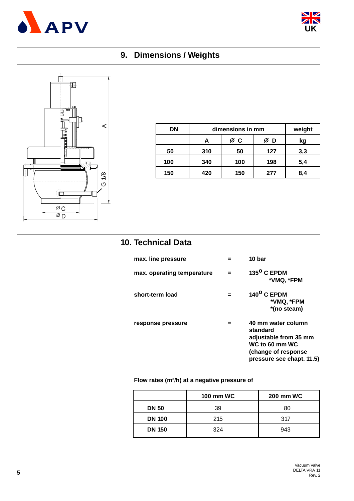



## **9. Dimensions / Weights**



| DN  |     | dimensions in mm |     | weight |
|-----|-----|------------------|-----|--------|
|     |     | øс               | D   | kg     |
| 50  | 310 | 50               | 127 | 3,3    |
| 100 | 340 | 100              | 198 | 5,4    |
| 150 | 420 | 150              | 277 | 8,4    |

## **10. Technical Data**

| max. line pressure         | 10 bar                                                                                                                        |
|----------------------------|-------------------------------------------------------------------------------------------------------------------------------|
| max. operating temperature | 135 <sup>o</sup> C EPDM<br>*VMQ, *FPM                                                                                         |
| short-term load            | $140^{\circ}$ C EPDM<br>*VMQ, *FPM<br>*(no steam)                                                                             |
| response pressure          | 40 mm water column<br>standard<br>adjustable from 35 mm<br>WC to 60 mm WC<br>(change of response<br>pressure see chapt. 11.5) |

#### **Flow rates (m³/h) at a negative pressure of**

|               | <b>100 mm WC</b> | <b>200 mm WC</b> |
|---------------|------------------|------------------|
| <b>DN 50</b>  | 39               | 80               |
| <b>DN 100</b> | 215              | 317              |
| <b>DN 150</b> | 324              | 943              |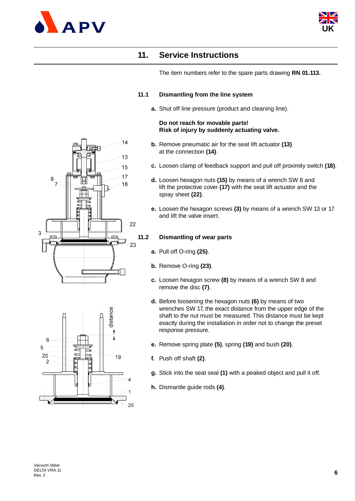



## **11. Service Instructions**

The item numbers refer to the spare parts drawing **RN 01.113.**

#### **11.1 Dismantling from the line system**

**a.** Shut off line pressure (product and cleaning line).

#### **Do not reach for movable parts! Risk of injury by suddenly actuating valve.**

- **b.** Remove pneumatic air for the seat lift actuator **(13)**  at the connection **(14)**.
- **c.** Loosen clamp of feedback support and pull off proximity switch **(18)**.
- **d.** Loosen hexagon nuts **(15)** by means of a wrench SW 8 and lift the protective cover **(17)** with the seat lift actuator and the spray sheet **(22)**.
- **e.** Loosen the hexagon screws **(3)** by means of a wrench SW 13 or 17 and lift the valve insert.

#### **11.2 Dismantling of wear parts**

- **a.** Pull off O-ring **(25)**.
- **b.** Remove O-ring **(23)**.
- **c.** Loosen hexagon screw **(8)** by means of a wrench SW 8 and remove the disc **(7)**.
- **d.** Before loosening the hexagon nuts **(6)** by means of two wrenches SW 17, the exact distance from the upper edge of the shaft to the nut must be measured. This distance must be kept exactly during the installation in order not to change the preset response pressure.
- **e.** Remove spring plate **(5)**, spring **(19)** and bush **(20)**.
- **f.** Push off shaft **(2)**.
- **g.** Stick into the seat seal **(1)** with a peaked object and pull it off.
- **h.** Dismantle guide rods **(4)**.



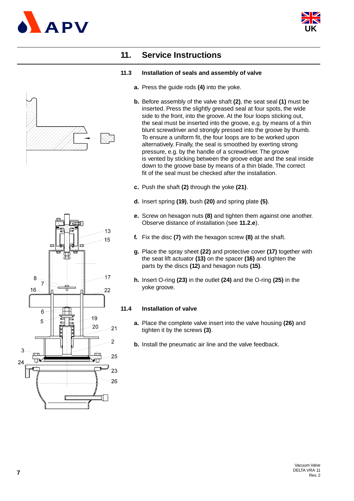



## **11. Service Instructions**

#### **11.3 Installation of seals and assembly of valve**

- **a.** Press the guide rods **(4)** into the yoke.
- **b.** Before assembly of the valve shaft **(2)**, the seat seal **(1)** must be inserted. Press the slightly greased seal at four spots, the wide side to the front, into the groove. At the four loops sticking out, the seal must be inserted into the groove, e.g. by means of a thin blunt screwdriver and strongly pressed into the groove by thumb. To ensure a uniform fit, the four loops are to be worked upon alternatively. Finally, the seal is smoothed by exerting strong pressure, e.g. by the handle of a screwdriver. The groove is vented by sticking between the groove edge and the seal inside down to the groove base by means of a thin blade. The correct fit of the seal must be checked after the installation.
- **c.** Push the shaft **(2)** through the yoke **(21)**.
- **d.** Insert spring **(19)**, bush **(20)** and spring plate **(5)**.
- **e.** Screw on hexagon nuts **(8)** and tighten them against one another. Observe distance of installation (see **11.2.e**).
- **f.** Fix the disc **(7)** with the hexagon screw **(8)** at the shaft.
- **g.** Place the spray sheet **(22)** and protective cover **(17)** together with the seat lift actuator **(13)** on the spacer **(16)** and tighten the parts by the discs **(12)** and hexagon nuts **(15)**.
- **h.** Insert O-ring **(23)** in the outlet **(24)** and the O-ring **(25)** in the yoke groove.

#### **11.4 Installation of valve**

- **a.** Place the complete valve insert into the valve housing **(26)** and tighten it by the screws **(3)**.
- **b.** Install the pneumatic air line and the valve feedback.

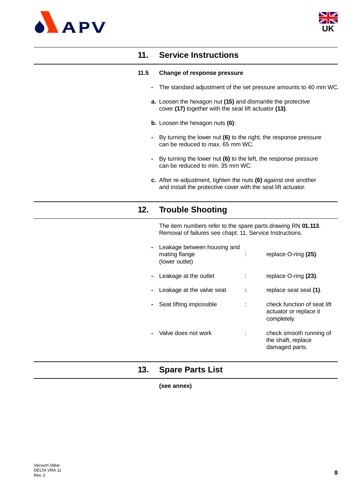



## **11. Service Instructions**

#### **11.5 Change of response pressure**

- **-** The standard adjustment of the set pressure amounts to 40 mm WC.
- **a.** Loosen the hexagon nut **(15)** and dismantle the protective cover **(17)** together with the seat lift actuator **(13)**.
- **b.** Loosen the hexagon nuts **(6)**:
- **-** By turning the lower nut **(6)** to the right, the response pressure can be reduced to max. 65 mm WC.
- **-** By turning the lower nut **(6)** to the left, the response pressure can be reduced to min. 35 mm WC.
- **c.** After re-adjustment, tighten the nuts **(6)** against one another and install the protective cover with the seat lift actuator.

## **12. Trouble Shooting**

The item numbers refer to the spare parts drawing RN **01.113**. Removal of failures see chapt. 11, Service Instructions.

| Leakage between housing and<br>mating flange<br>(lower outlet) | replace O-ring (25).                                                 |
|----------------------------------------------------------------|----------------------------------------------------------------------|
| Leakage at the outlet                                          | replace O-ring (23).                                                 |
| Leakage at the valve seat                                      | replace seat seal (1).                                               |
| Seat lifting impossible                                        | check function of seat lift<br>actuator or replace it<br>completely. |
| Valve does not work                                            | check smooth running of<br>the shaft, replace<br>damaged parts.      |

## **13. Spare Parts List**

**(see annex)**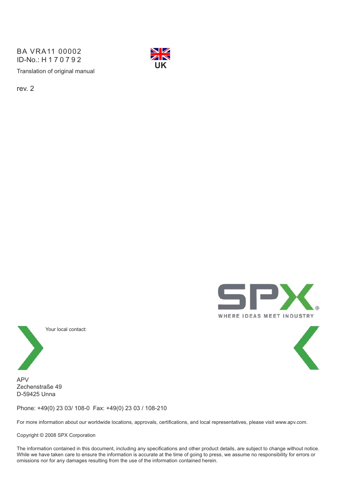Translation of original manual BA VRA11 00002 ID-No.: H170792



rev. 2





Your local contact:



Zechenstraße 49 D-59425 Unna

Phone: +49(0) 23 03/ 108-0 Fax: +49(0) 23 03 / 108-210

For more information about our worldwide locations, approvals, certifications, and local representatives, please visit www.apv.com.

Copyright © 2008 SPX Corporation

The information contained in this document, including any specifications and other product details, are subject to change without notice. While we have taken care to ensure the information is accurate at the time of going to press, we assume no responsibility for errors or omissions nor for any damages resulting from the use of the information contained herein.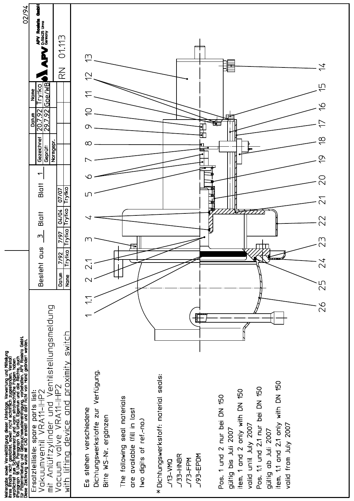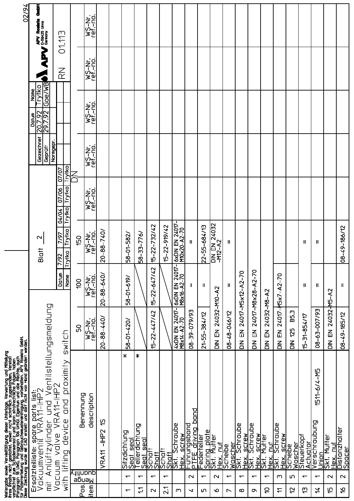|                          |                          | Weitergabe sowie Vervielfältigung dieser Unterlage, Verwertung und Mitteilung<br>ihres Finalts nicht gestaftet, soweit nicht schrifflich zugestanden. Verstoß<br>verpflichtet zum Schadensersatz und kann strafrechtliche Falgen hab |                                           |                                                                 |                                  |                                    |                                    |                                                                           |                                 | 02/94                                                      |
|--------------------------|--------------------------|--------------------------------------------------------------------------------------------------------------------------------------------------------------------------------------------------------------------------------------|-------------------------------------------|-----------------------------------------------------------------|----------------------------------|------------------------------------|------------------------------------|---------------------------------------------------------------------------|---------------------------------|------------------------------------------------------------|
|                          | $\frac{1}{\overline{E}}$ | Ventilstellungsmeldung<br>Ersatzteiliste: spare parts list:<br>Vakuumventi( VRA11-IHP2<br>pd<br>S<br>Anlüftzylinder                                                                                                                  |                                           |                                                                 | $\mathbf{\Omega}$<br>Blatt       |                                    | Gezeichnet<br>Normgepr.<br>Geprüff | Goe/WB<br><b>LAIKO</b><br>Nane<br><u>207.92</u><br>297.92<br><u>latun</u> |                                 | 看看<br><b>APV Roatsta</b><br><b>LEPV</b> Bernary<br>Germany |
|                          | Vacuum<br>with           | proximity<br>VRA11-IHP2<br>and<br>device<br>valve<br>lifting                                                                                                                                                                         | switch                                    | Datun<br>Name                                                   | Trytko<br>7/97<br>Trytko<br>7/92 | Trytko<br>07/06<br>Trytko<br>04/04 | Trytkoj<br>07/07                   |                                                                           | $\overline{\widetilde{\alpha}}$ | 01.113                                                     |
| Post                     | anauji)<br><u>Neude</u>  | Benennung                                                                                                                                                                                                                            | ρg                                        | 00                                                              | 150                              |                                    |                                    |                                                                           |                                 |                                                            |
| item                     | apup                     | description                                                                                                                                                                                                                          | <b>WS-Nr.</b><br>ref.-no.                 | <b>WS-Nr.</b><br>Met.- <u>no.</u><br>Met.- <u>no.</u>           | wS-Nr.<br>ref.-no.               | WS-Nr.<br>ref.-no.                 | WS-Nr.<br>ref.-no.                 | WS-Nr.<br>ref.-no.                                                        | <b>WS-NC.</b><br>WS-NC.         | WS-Nr.<br>1ef.-no.                                         |
|                          |                          | <u>ღ</u><br>$-1$ HP2<br>VRA11                                                                                                                                                                                                        | $20 - 88 - 440$                           | $20 - 88 - 640$                                                 | $20 - 88 - 740$                  |                                    |                                    |                                                                           |                                 |                                                            |
|                          |                          |                                                                                                                                                                                                                                      |                                           |                                                                 |                                  |                                    |                                    |                                                                           |                                 |                                                            |
| $\overline{\phantom{0}}$ | $\overline{\phantom{0}}$ | $\ast$<br><u>Sitzdichtung</u><br>Seat seal                                                                                                                                                                                           | 58-01-420/                                | 58-01-619                                                       | 58-01-582/                       |                                    |                                    |                                                                           |                                 |                                                            |
| $\ddot{ }$               | $\overline{\phantom{0}}$ | ∗<br>Tellerdichtung<br>seal<br><b>Seat</b>                                                                                                                                                                                           |                                           |                                                                 | 58-33-776/                       |                                    |                                    |                                                                           |                                 |                                                            |
| $\mathbf 2$              | $\overline{\phantom{0}}$ | Schaff<br>Shaff                                                                                                                                                                                                                      | $15 - 22 - 447/42$                        | $\sim$<br>$15 - 22 - 647/4$                                     | 15-22-732/42                     |                                    |                                    |                                                                           |                                 |                                                            |
| $\overline{21}$          | $\overline{\phantom{0}}$ | Schaft<br>$\frac{1}{100}$                                                                                                                                                                                                            |                                           |                                                                 | 15-22-919/42                     |                                    |                                    |                                                                           |                                 |                                                            |
| m                        |                          | <b>Schraube</b>                                                                                                                                                                                                                      | 4xDIN EN 24017-<br>$-70$<br>M8x14-A2      | $\overline{5}$<br><b>2407</b><br>- 70<br>叾<br>M8x16-A2<br>6xDIN | 6xDIN EN 24017-<br>M10x20-A2-70  |                                    |                                    |                                                                           |                                 |                                                            |
| ↘                        | $\mathbf{\Omega}$        | band<br><u> Hex. screw<br/> Führungsband</u><br> P <u>TFE_driving_b</u>                                                                                                                                                              | E6/6/20-6E-80                             | H                                                               | Ш                                |                                    |                                    |                                                                           |                                 |                                                            |
| ம                        | $\overline{\phantom{0}}$ | <b>Federteller</b>                                                                                                                                                                                                                   | 21-55-384/12                              | $\mathsf{I}$                                                    | 22-55-684/13                     |                                    |                                    |                                                                           |                                 |                                                            |
| $\mathbf o$              | $\mathbf{\Omega}$        | Spring plate<br>Skt. Mutter<br>Ĕ<br>Hex.                                                                                                                                                                                             | DIN EN                                    | 24032-M10-A2                                                    | <b>DIN EN 24032</b><br>-M12-A2   |                                    |                                    |                                                                           |                                 |                                                            |
| $\overline{\phantom{0}}$ | $\overline{\phantom{0}}$ | Scheibe                                                                                                                                                                                                                              | 08-48-046/12                              | $\mathbf{II}$                                                   | H                                |                                    |                                    |                                                                           |                                 |                                                            |
| $\infty$                 | $\overline{\phantom{0}}$ | <b>Schraube</b><br><b>SCLEW</b><br><u>Wascher</u><br>Skt. Schi<br><b>NaH</b>                                                                                                                                                         | $\overline{E}$<br>$\overline{5}$          | 24017-M5x12-A2-70                                               |                                  |                                    |                                    |                                                                           |                                 |                                                            |
| o                        | $\overline{\phantom{0}}$ | Schraube<br><b>Ski</b> .<br><b>Next</b>                                                                                                                                                                                              | $\overline{E}$<br>$\overline{\mathsf{a}}$ | 24017-M8x28-A2-70                                               |                                  |                                    |                                    |                                                                           |                                 |                                                            |
| S                        | $\overline{\phantom{0}}$ | <b>SCLEW</b><br>Mutter<br>司<br><u>Hex.</u><br>$\frac{1}{2}$                                                                                                                                                                          | 24032-M8-A2<br>$\overline{E}$<br>$\leq$   |                                                                 |                                  |                                    |                                    |                                                                           |                                 |                                                            |
| $\tilde{U}$              | m                        | Schraube<br><b>SCLEW</b><br>$\overline{\tilde{\mathbf{5}}\tilde{\mathbf{K}}}$<br><b>Next</b>                                                                                                                                         | $\overline{E}$<br>$\leq$                  | 24017-15x7-A2-70                                                |                                  |                                    |                                    |                                                                           |                                 |                                                            |
| 5                        | ഗ                        | Wascher<br>Scheibe                                                                                                                                                                                                                   | B5,3<br><b>25</b><br>$\leq$               |                                                                 |                                  |                                    |                                    |                                                                           |                                 |                                                            |
| ű                        | $\overline{\phantom{0}}$ | Steuerkopf<br>Actuator                                                                                                                                                                                                               | 15-31-854/17                              | $\mathbf l$                                                     | $\mathsf{I}$                     |                                    |                                    |                                                                           |                                 |                                                            |
| $\overline{4}$           | $\overline{\phantom{0}}$ | 1511-6/4-M5<br><u>Verschraubung</u>                                                                                                                                                                                                  | 08-63-007/93                              | Ш                                                               | Ш                                |                                    |                                    |                                                                           |                                 |                                                            |
| fū                       | $\mathbf{\Omega}$        | <u>Union</u><br>Skt. Mutter<br>Ĕ<br>Кэн<br>Н                                                                                                                                                                                         | 24032-<br>$\overline{E}$<br>$\leq$        | $\sim$<br>K-SH                                                  |                                  |                                    |                                    |                                                                           |                                 |                                                            |
| $\tilde{e}$              | $\mathbf{\Omega}$        | Distanzhalter<br>Spacer                                                                                                                                                                                                              | 08-49-185/12                              | Ш                                                               | 08-49-186/12                     |                                    |                                    |                                                                           |                                 |                                                            |